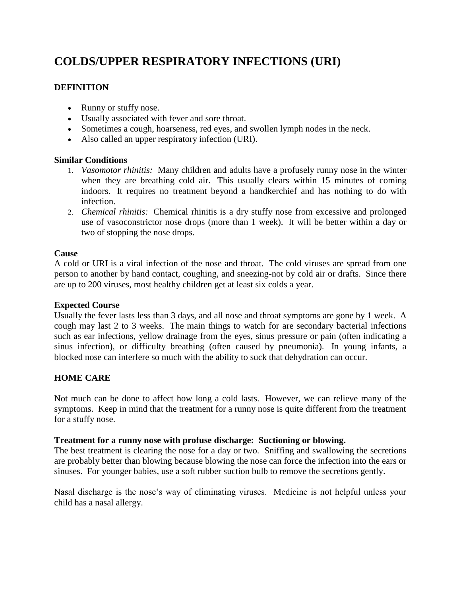# **COLDS/UPPER RESPIRATORY INFECTIONS (URI)**

# **DEFINITION**

- Runny or stuffy nose.
- Usually associated with fever and sore throat.
- Sometimes a cough, hoarseness, red eyes, and swollen lymph nodes in the neck.
- Also called an upper respiratory infection (URI).

# **Similar Conditions**

- 1. *Vasomotor rhinitis:* Many children and adults have a profusely runny nose in the winter when they are breathing cold air. This usually clears within 15 minutes of coming indoors. It requires no treatment beyond a handkerchief and has nothing to do with infection.
- 2. *Chemical rhinitis:* Chemical rhinitis is a dry stuffy nose from excessive and prolonged use of vasoconstrictor nose drops (more than 1 week). It will be better within a day or two of stopping the nose drops.

# **Cause**

A cold or URI is a viral infection of the nose and throat. The cold viruses are spread from one person to another by hand contact, coughing, and sneezing-not by cold air or drafts. Since there are up to 200 viruses, most healthy children get at least six colds a year.

# **Expected Course**

Usually the fever lasts less than 3 days, and all nose and throat symptoms are gone by 1 week. A cough may last 2 to 3 weeks. The main things to watch for are secondary bacterial infections such as ear infections, yellow drainage from the eyes, sinus pressure or pain (often indicating a sinus infection), or difficulty breathing (often caused by pneumonia). In young infants, a blocked nose can interfere so much with the ability to suck that dehydration can occur.

# **HOME CARE**

Not much can be done to affect how long a cold lasts. However, we can relieve many of the symptoms. Keep in mind that the treatment for a runny nose is quite different from the treatment for a stuffy nose.

# **Treatment for a runny nose with profuse discharge: Suctioning or blowing.**

The best treatment is clearing the nose for a day or two. Sniffing and swallowing the secretions are probably better than blowing because blowing the nose can force the infection into the ears or sinuses. For younger babies, use a soft rubber suction bulb to remove the secretions gently.

Nasal discharge is the nose's way of eliminating viruses. Medicine is not helpful unless your child has a nasal allergy.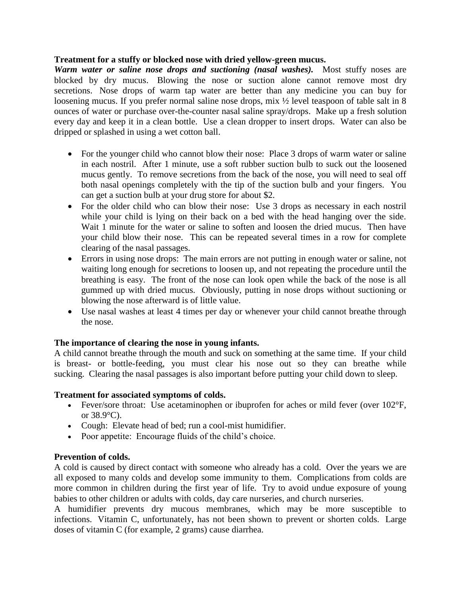#### **Treatment for a stuffy or blocked nose with dried yellow-green mucus.**

*Warm water or saline nose drops and suctioning (nasal washes).* Most stuffy noses are blocked by dry mucus. Blowing the nose or suction alone cannot remove most dry secretions. Nose drops of warm tap water are better than any medicine you can buy for loosening mucus. If you prefer normal saline nose drops, mix  $\frac{1}{2}$  level teaspoon of table salt in 8 ounces of water or purchase over-the-counter nasal saline spray/drops. Make up a fresh solution every day and keep it in a clean bottle. Use a clean dropper to insert drops. Water can also be dripped or splashed in using a wet cotton ball.

- For the younger child who cannot blow their nose: Place 3 drops of warm water or saline in each nostril. After 1 minute, use a soft rubber suction bulb to suck out the loosened mucus gently. To remove secretions from the back of the nose, you will need to seal off both nasal openings completely with the tip of the suction bulb and your fingers. You can get a suction bulb at your drug store for about \$2.
- For the older child who can blow their nose: Use 3 drops as necessary in each nostril while your child is lying on their back on a bed with the head hanging over the side. Wait 1 minute for the water or saline to soften and loosen the dried mucus. Then have your child blow their nose. This can be repeated several times in a row for complete clearing of the nasal passages.
- Errors in using nose drops: The main errors are not putting in enough water or saline, not waiting long enough for secretions to loosen up, and not repeating the procedure until the breathing is easy. The front of the nose can look open while the back of the nose is all gummed up with dried mucus. Obviously, putting in nose drops without suctioning or blowing the nose afterward is of little value.
- Use nasal washes at least 4 times per day or whenever your child cannot breathe through the nose.

# **The importance of clearing the nose in young infants.**

A child cannot breathe through the mouth and suck on something at the same time. If your child is breast- or bottle-feeding, you must clear his nose out so they can breathe while sucking. Clearing the nasal passages is also important before putting your child down to sleep.

#### **Treatment for associated symptoms of colds.**

- Fever/sore throat: Use acetaminophen or ibuprofen for aches or mild fever (over 102°F, or 38.9°C).
- Cough: Elevate head of bed; run a cool-mist humidifier.
- Poor appetite: Encourage fluids of the child's choice.

# **Prevention of colds.**

A cold is caused by direct contact with someone who already has a cold. Over the years we are all exposed to many colds and develop some immunity to them. Complications from colds are more common in children during the first year of life. Try to avoid undue exposure of young babies to other children or adults with colds, day care nurseries, and church nurseries.

A humidifier prevents dry mucous membranes, which may be more susceptible to infections. Vitamin C, unfortunately, has not been shown to prevent or shorten colds. Large doses of vitamin C (for example, 2 grams) cause diarrhea.